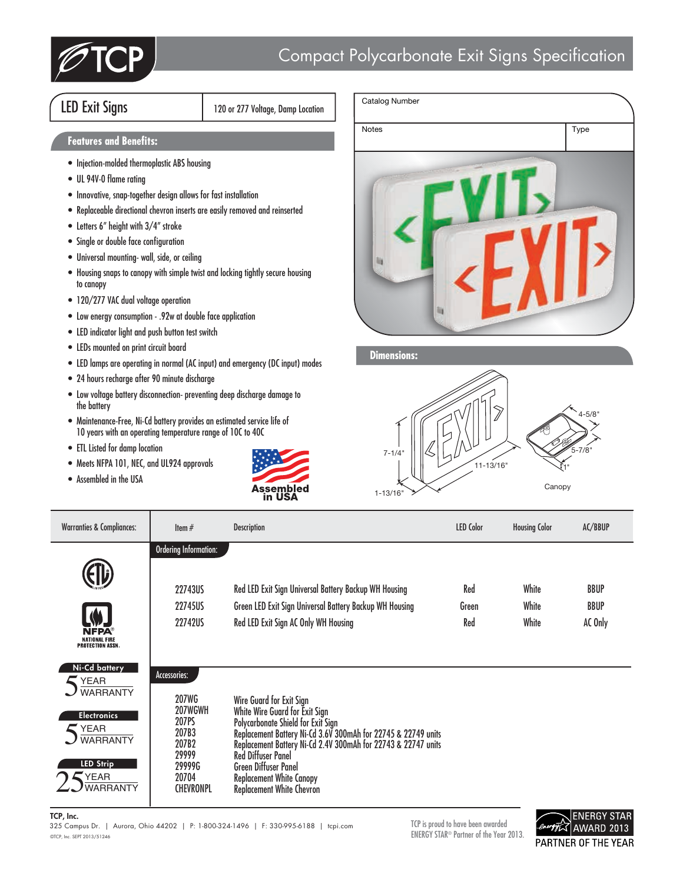

## LED Exit Signs 120 or 277 Voltage, Damp Location

## **Features and Benefits:**

- Injection-molded thermoplastic ABS housing
- UL 94V-0 flame rating
- Innovative, snap-together design allows for fast installation
- Replaceable directional chevron inserts are easily removed and reinserted
- Letters 6" height with 3/4" stroke
- Single or double face configuration
- Universal mounting- wall, side, or ceiling
- Housing snaps to canopy with simple twist and locking tightly secure housing to canopy
- 120/277 VAC dual voltage operation
- Low energy consumption .92w at double face application
- LED indicator light and push button test switch
- LEDs mounted on print circuit board
- LED lamps are operating in normal (AC input) and emergency (DC input) modes
- 24 hours recharge after 90 minute discharge
- Low voltage battery disconnection- preventing deep discharge damage to the battery
- Maintenance-Free, Ni-Cd battery provides an estimated service life of 10 years with an operating temperature range of 10C to 40C
- ETL Listed for damp location
- Meets NFPA 101, NEC, and UL924 approvals
- Assembled in the USA





**Dimensions:**



| <b>Warranties &amp; Compliances:</b>                                                                                                                    | Item $#$                                                                                                           | <b>Description</b>                                                                                                                                                                                                                                                                                                                                                    | <b>LED Color</b>    | <b>Housing Color</b>    | AC/BBUP                               |
|---------------------------------------------------------------------------------------------------------------------------------------------------------|--------------------------------------------------------------------------------------------------------------------|-----------------------------------------------------------------------------------------------------------------------------------------------------------------------------------------------------------------------------------------------------------------------------------------------------------------------------------------------------------------------|---------------------|-------------------------|---------------------------------------|
| NFPA<br>NATIONAL FIRE<br>PROTECTION ASSN.                                                                                                               | <b>Ordering Information:</b><br>22743US<br>22745US<br><b>22742US</b>                                               | Red LED Exit Sign Universal Battery Backup WH Housing<br>Green LED Exit Sign Universal Battery Backup WH Housing<br>Red LED Exit Sign AC Only WH Housing                                                                                                                                                                                                              | Red<br>Green<br>Red | White<br>White<br>White | <b>BBUP</b><br><b>BBUP</b><br>AC Only |
| Ni-Cd battery<br>$\blacktriangleright$ YEAR<br><b>WARRANTY</b><br><b>Electronics</b><br>YEAR<br><b>WARRANTY</b><br><b>LED Strip</b><br>YEAR<br>WARRANTY | Accessories:<br><b>207WG</b><br>207WGWH<br>207PS<br>207B3<br>207B2<br>29999<br>29999G<br>20704<br><b>CHEVRONPL</b> | Wire Guard for Exit Sign<br>White Wire Guard for Exit Sign<br>Polycarbonate Shield for Exit Sign<br>Replacement Battery Ni-Cd 3.6V 300mAh for 22745 & 22749 units<br>Replacement Battery Ni-Cd 2.4V 300mAh for 22743 & 22747 units<br><b>Red Diffuser Panel</b><br><b>Green Diffuser Panel</b><br><b>Replacement White Canopy</b><br><b>Replacement White Chevron</b> |                     |                         |                                       |

TCP, Inc.